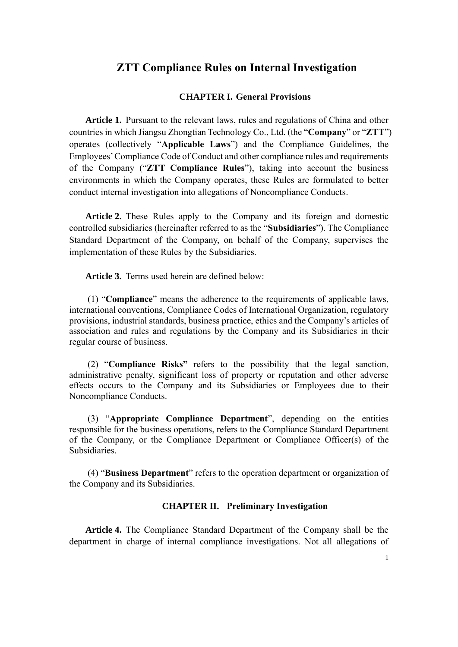# **ZTT Compliance Rules on Internal Investigation**

### **CHAPTER I. General Provisions**

**Article 1.** Pursuant to the relevant laws, rules and regulations of China and other countries in which Jiangsu Zhongtian Technology Co., Ltd. (the "**Company**" or "**ZTT**") operates (collectively "**Applicable Laws**") and the Compliance Guidelines, the Employees' Compliance Code of Conduct and other compliance rules and requirements of the Company ("**ZTT Compliance Rules**"), taking into account the business environments in which the Company operates, these Rules are formulated to better conduct internal investigation into allegations of Noncompliance Conducts.

**Article 2.** These Rules apply to the Company and its foreign and domestic controlled subsidiaries (hereinafter referred to as the "**Subsidiaries**"). The Compliance Standard Department of the Company, on behalf of the Company, supervises the implementation of these Rules by the Subsidiaries.

**Article 3.** Terms used herein are defined below:

(1) "**Compliance**" means the adherence to the requirements of applicable laws, international conventions, Compliance Codes of International Organization, regulatory provisions, industrial standards, business practice, ethics and the Company's articles of association and rules and regulations by the Company and its Subsidiaries in their regular course of business.

(2) "**Compliance Risks"** refers to the possibility that the legal sanction, administrative penalty, significant loss of property or reputation and other adverse effects occurs to the Company and its Subsidiaries or Employees due to their Noncompliance Conducts.

(3) "**Appropriate Compliance Department**", depending on the entities responsible for the business operations, refers to the Compliance Standard Department of the Company, or the Compliance Department or Compliance Officer(s) of the Subsidiaries.

(4) "**Business Department**" refers to the operation department or organization of the Company and its Subsidiaries.

### **CHAPTER II. Preliminary Investigation**

**Article 4.** The Compliance Standard Department of the Company shall be the department in charge of internal compliance investigations. Not all allegations of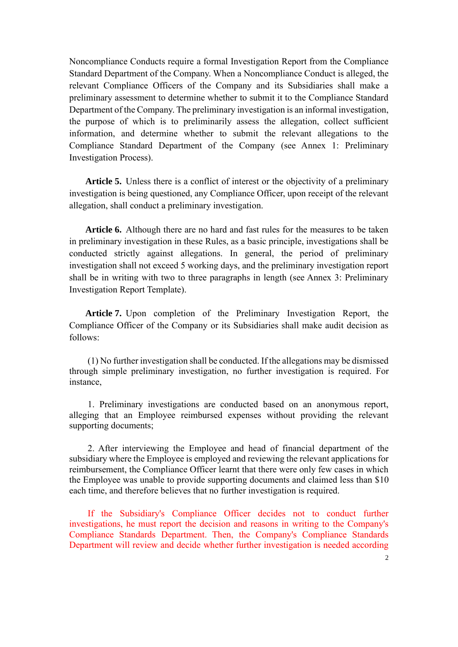Noncompliance Conducts require a formal Investigation Report from the Compliance Standard Department of the Company. When a Noncompliance Conduct is alleged, the relevant Compliance Officers of the Company and its Subsidiaries shall make a preliminary assessment to determine whether to submit it to the Compliance Standard Department of the Company. The preliminary investigation is an informal investigation, the purpose of which is to preliminarily assess the allegation, collect sufficient information, and determine whether to submit the relevant allegations to the Compliance Standard Department of the Company (see Annex 1: Preliminary Investigation Process).

**Article 5.** Unless there is a conflict of interest or the objectivity of a preliminary investigation is being questioned, any Compliance Officer, upon receipt of the relevant allegation, shall conduct a preliminary investigation.

**Article 6.** Although there are no hard and fast rules for the measures to be taken in preliminary investigation in these Rules, as a basic principle, investigations shall be conducted strictly against allegations. In general, the period of preliminary investigation shall not exceed 5 working days, and the preliminary investigation report shall be in writing with two to three paragraphs in length (see Annex 3: Preliminary Investigation Report Template).

**Article 7.** Upon completion of the Preliminary Investigation Report, the Compliance Officer of the Company or its Subsidiaries shall make audit decision as follows:

(1) No further investigation shall be conducted. If the allegations may be dismissed through simple preliminary investigation, no further investigation is required. For instance,

1. Preliminary investigations are conducted based on an anonymous report, alleging that an Employee reimbursed expenses without providing the relevant supporting documents;

2. After interviewing the Employee and head of financial department of the subsidiary where the Employee is employed and reviewing the relevant applications for reimbursement, the Compliance Officer learnt that there were only few cases in which the Employee was unable to provide supporting documents and claimed less than \$10 each time, and therefore believes that no further investigation is required.

If the Subsidiary's Compliance Officer decides not to conduct further investigations, he must report the decision and reasons in writing to the Company's Compliance Standards Department. Then, the Company's Compliance Standards Department will review and decide whether further investigation is needed according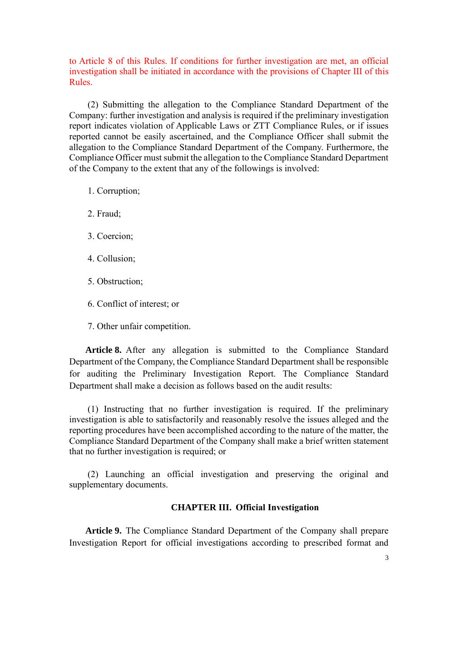to Article 8 of this Rules. If conditions for further investigation are met, an official investigation shall be initiated in accordance with the provisions of Chapter III of this Rules.

(2) Submitting the allegation to the Compliance Standard Department of the Company: further investigation and analysis is required if the preliminary investigation report indicates violation of Applicable Laws or ZTT Compliance Rules, or if issues reported cannot be easily ascertained, and the Compliance Officer shall submit the allegation to the Compliance Standard Department of the Company. Furthermore, the Compliance Officer must submit the allegation to the Compliance Standard Department of the Company to the extent that any of the followings is involved:

- 1. Corruption;
- 2. Fraud;
- 3. Coercion;
- 4. Collusion;
- 5. Obstruction;
- 6. Conflict of interest; or
- 7. Other unfair competition.

**Article 8.** After any allegation is submitted to the Compliance Standard Department of the Company, the Compliance Standard Department shall be responsible for auditing the Preliminary Investigation Report. The Compliance Standard Department shall make a decision as follows based on the audit results:

(1) Instructing that no further investigation is required. If the preliminary investigation is able to satisfactorily and reasonably resolve the issues alleged and the reporting procedures have been accomplished according to the nature of the matter, the Compliance Standard Department of the Company shall make a brief written statement that no further investigation is required; or

(2) Launching an official investigation and preserving the original and supplementary documents.

#### **CHAPTER III. Official Investigation**

**Article 9.** The Compliance Standard Department of the Company shall prepare Investigation Report for official investigations according to prescribed format and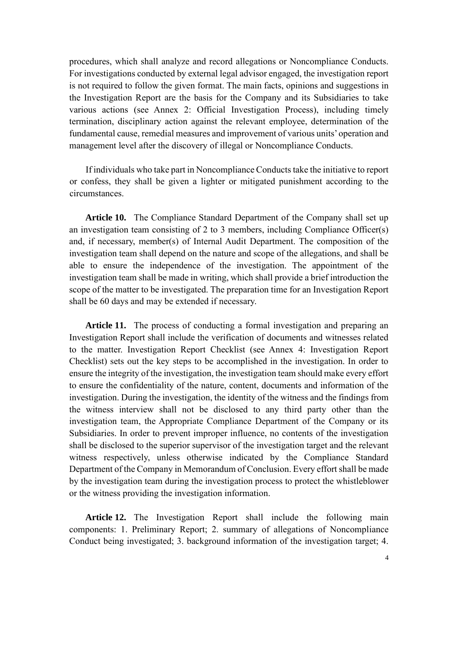procedures, which shall analyze and record allegations or Noncompliance Conducts. For investigations conducted by external legal advisor engaged, the investigation report is not required to follow the given format. The main facts, opinions and suggestions in the Investigation Report are the basis for the Company and its Subsidiaries to take various actions (see Annex 2: Official Investigation Process), including timely termination, disciplinary action against the relevant employee, determination of the fundamental cause, remedial measures and improvement of various units' operation and management level after the discovery of illegal or Noncompliance Conducts.

If individuals who take part in Noncompliance Conducts take the initiative to report or confess, they shall be given a lighter or mitigated punishment according to the circumstances.

**Article 10.** The Compliance Standard Department of the Company shall set up an investigation team consisting of 2 to 3 members, including Compliance Officer(s) and, if necessary, member(s) of Internal Audit Department. The composition of the investigation team shall depend on the nature and scope of the allegations, and shall be able to ensure the independence of the investigation. The appointment of the investigation team shall be made in writing, which shall provide a brief introduction the scope of the matter to be investigated. The preparation time for an Investigation Report shall be 60 days and may be extended if necessary.

**Article 11.** The process of conducting a formal investigation and preparing an Investigation Report shall include the verification of documents and witnesses related to the matter. Investigation Report Checklist (see Annex 4: Investigation Report Checklist) sets out the key steps to be accomplished in the investigation. In order to ensure the integrity of the investigation, the investigation team should make every effort to ensure the confidentiality of the nature, content, documents and information of the investigation. During the investigation, the identity of the witness and the findings from the witness interview shall not be disclosed to any third party other than the investigation team, the Appropriate Compliance Department of the Company or its Subsidiaries. In order to prevent improper influence, no contents of the investigation shall be disclosed to the superior supervisor of the investigation target and the relevant witness respectively, unless otherwise indicated by the Compliance Standard Department of the Company in Memorandum of Conclusion. Every effort shall be made by the investigation team during the investigation process to protect the whistleblower or the witness providing the investigation information.

**Article 12.** The Investigation Report shall include the following main components: 1. Preliminary Report; 2. summary of allegations of Noncompliance Conduct being investigated; 3. background information of the investigation target; 4.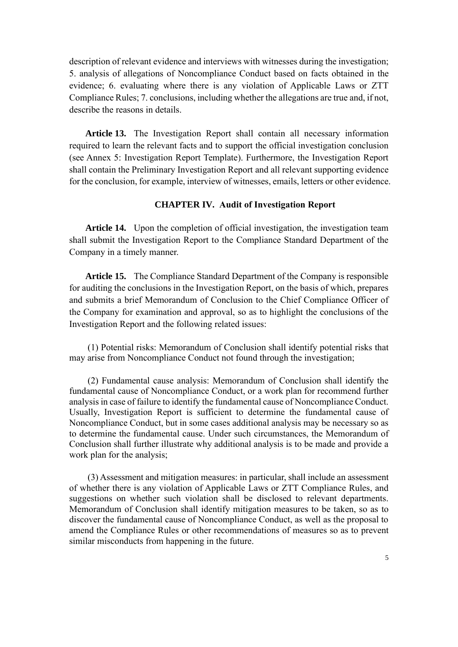description of relevant evidence and interviews with witnesses during the investigation; 5. analysis of allegations of Noncompliance Conduct based on facts obtained in the evidence; 6. evaluating where there is any violation of Applicable Laws or ZTT Compliance Rules; 7. conclusions, including whether the allegations are true and, if not, describe the reasons in details.

**Article 13.** The Investigation Report shall contain all necessary information required to learn the relevant facts and to support the official investigation conclusion (see Annex 5: Investigation Report Template). Furthermore, the Investigation Report shall contain the Preliminary Investigation Report and all relevant supporting evidence for the conclusion, for example, interview of witnesses, emails, letters or other evidence.

#### **CHAPTER IV. Audit of Investigation Report**

**Article 14.** Upon the completion of official investigation, the investigation team shall submit the Investigation Report to the Compliance Standard Department of the Company in a timely manner.

**Article 15.** The Compliance Standard Department of the Company is responsible for auditing the conclusions in the Investigation Report, on the basis of which, prepares and submits a brief Memorandum of Conclusion to the Chief Compliance Officer of the Company for examination and approval, so as to highlight the conclusions of the Investigation Report and the following related issues:

(1) Potential risks: Memorandum of Conclusion shall identify potential risks that may arise from Noncompliance Conduct not found through the investigation;

(2) Fundamental cause analysis: Memorandum of Conclusion shall identify the fundamental cause of Noncompliance Conduct, or a work plan for recommend further analysis in case of failure to identify the fundamental cause of Noncompliance Conduct. Usually, Investigation Report is sufficient to determine the fundamental cause of Noncompliance Conduct, but in some cases additional analysis may be necessary so as to determine the fundamental cause. Under such circumstances, the Memorandum of Conclusion shall further illustrate why additional analysis is to be made and provide a work plan for the analysis;

(3) Assessment and mitigation measures: in particular, shall include an assessment of whether there is any violation of Applicable Laws or ZTT Compliance Rules, and suggestions on whether such violation shall be disclosed to relevant departments. Memorandum of Conclusion shall identify mitigation measures to be taken, so as to discover the fundamental cause of Noncompliance Conduct, as well as the proposal to amend the Compliance Rules or other recommendations of measures so as to prevent similar misconducts from happening in the future.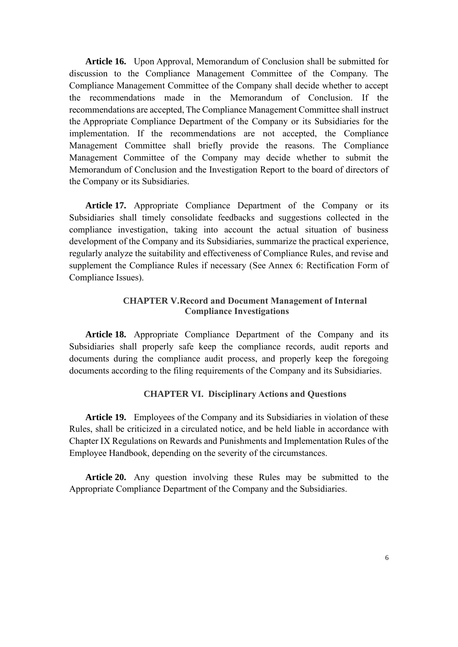**Article 16.** Upon Approval, Memorandum of Conclusion shall be submitted for discussion to the Compliance Management Committee of the Company. The Compliance Management Committee of the Company shall decide whether to accept the recommendations made in the Memorandum of Conclusion. If the recommendations are accepted, The Compliance Management Committee shall instruct the Appropriate Compliance Department of the Company or its Subsidiaries for the implementation. If the recommendations are not accepted, the Compliance Management Committee shall briefly provide the reasons. The Compliance Management Committee of the Company may decide whether to submit the Memorandum of Conclusion and the Investigation Report to the board of directors of the Company or its Subsidiaries.

**Article 17.** Appropriate Compliance Department of the Company or its Subsidiaries shall timely consolidate feedbacks and suggestions collected in the compliance investigation, taking into account the actual situation of business development of the Company and its Subsidiaries, summarize the practical experience, regularly analyze the suitability and effectiveness of Compliance Rules, and revise and supplement the Compliance Rules if necessary (See Annex 6: Rectification Form of Compliance Issues).

# **CHAPTER V.Record and Document Management of Internal Compliance Investigations**

**Article 18.** Appropriate Compliance Department of the Company and its Subsidiaries shall properly safe keep the compliance records, audit reports and documents during the compliance audit process, and properly keep the foregoing documents according to the filing requirements of the Company and its Subsidiaries.

# **CHAPTER VI. Disciplinary Actions and Questions**

**Article 19.** Employees of the Company and its Subsidiaries in violation of these Rules, shall be criticized in a circulated notice, and be held liable in accordance with Chapter IX Regulations on Rewards and Punishments and Implementation Rules of the Employee Handbook, depending on the severity of the circumstances.

**Article 20.** Any question involving these Rules may be submitted to the Appropriate Compliance Department of the Company and the Subsidiaries.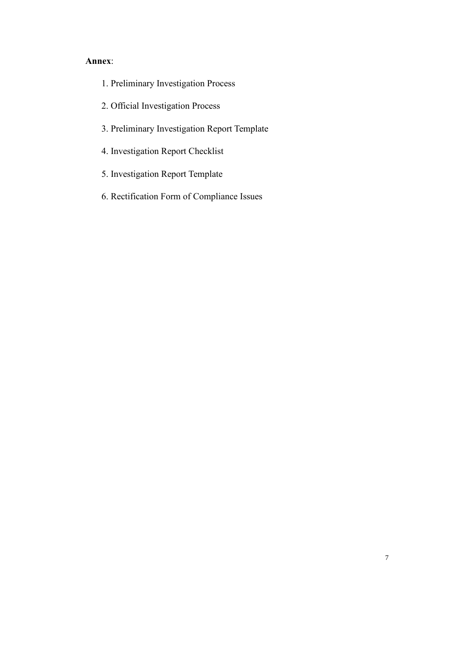- 1. Preliminary Investigation Process
- 2. Official Investigation Process
- 3. Preliminary Investigation Report Template
- 4. Investigation Report Checklist
- 5. Investigation Report Template
- 6. Rectification Form of Compliance Issues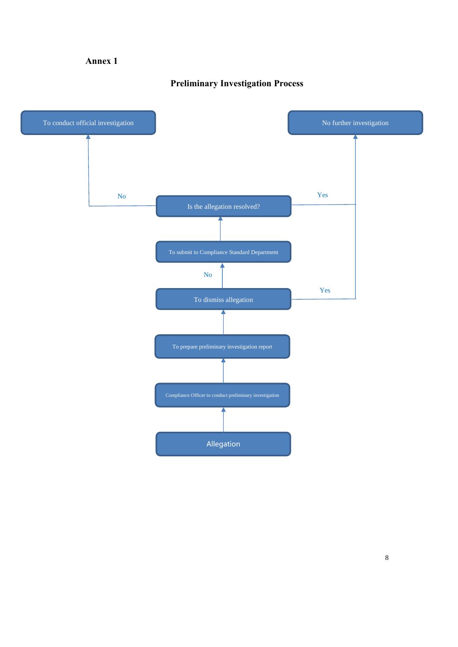# **Preliminary Investigation Process**

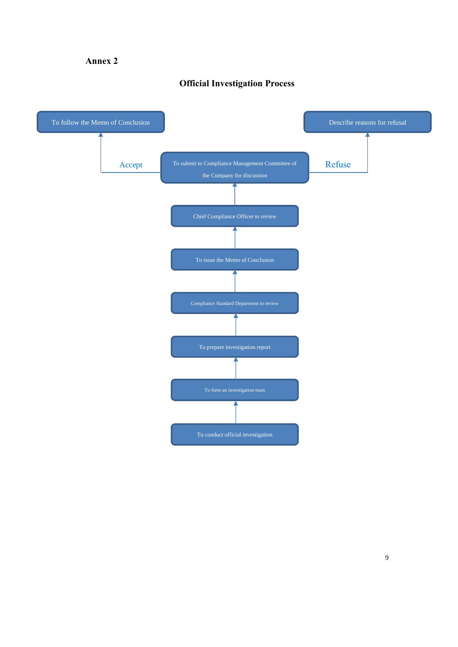# **Official Investigation Process**

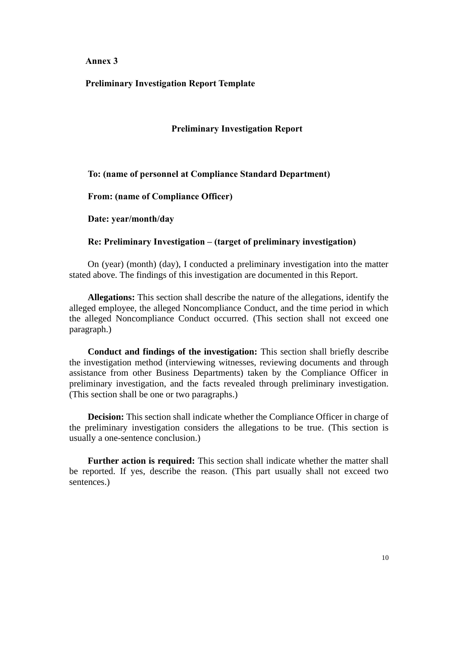### **Preliminary Investigation Report Template**

#### **Preliminary Investigation Report**

**To: (name of personnel at Compliance Standard Department)**

**From: (name of Compliance Officer)**

**Date: year/month/day**

### **Re: Preliminary Investigation – (target of preliminary investigation)**

On (year) (month) (day), I conducted a preliminary investigation into the matter stated above. The findings of this investigation are documented in this Report.

**Allegations:** This section shall describe the nature of the allegations, identify the alleged employee, the alleged Noncompliance Conduct, and the time period in which the alleged Noncompliance Conduct occurred. (This section shall not exceed one paragraph.)

**Conduct and findings of the investigation:** This section shall briefly describe the investigation method (interviewing witnesses, reviewing documents and through assistance from other Business Departments) taken by the Compliance Officer in preliminary investigation, and the facts revealed through preliminary investigation. (This section shall be one or two paragraphs.)

**Decision:** This section shall indicate whether the Compliance Officer in charge of the preliminary investigation considers the allegations to be true. (This section is usually a one-sentence conclusion.)

**Further action is required:** This section shall indicate whether the matter shall be reported. If yes, describe the reason. (This part usually shall not exceed two sentences.)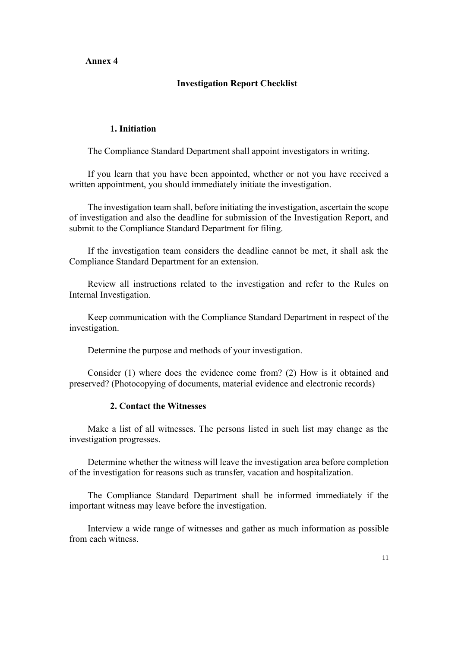#### **Investigation Report Checklist**

### **1. Initiation**

The Compliance Standard Department shall appoint investigators in writing.

If you learn that you have been appointed, whether or not you have received a written appointment, you should immediately initiate the investigation.

The investigation team shall, before initiating the investigation, ascertain the scope of investigation and also the deadline for submission of the Investigation Report, and submit to the Compliance Standard Department for filing.

If the investigation team considers the deadline cannot be met, it shall ask the Compliance Standard Department for an extension.

Review all instructions related to the investigation and refer to the Rules on Internal Investigation.

Keep communication with the Compliance Standard Department in respect of the investigation.

Determine the purpose and methods of your investigation.

Consider (1) where does the evidence come from? (2) How is it obtained and preserved? (Photocopying of documents, material evidence and electronic records)

#### **2. Contact the Witnesses**

Make a list of all witnesses. The persons listed in such list may change as the investigation progresses.

Determine whether the witness will leave the investigation area before completion of the investigation for reasons such as transfer, vacation and hospitalization.

The Compliance Standard Department shall be informed immediately if the important witness may leave before the investigation.

Interview a wide range of witnesses and gather as much information as possible from each witness.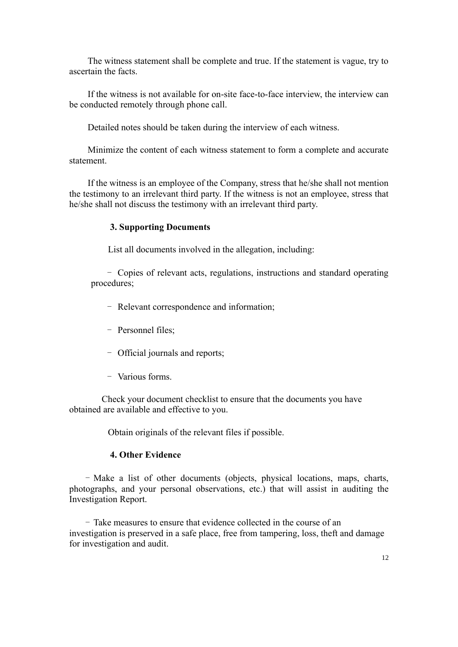The witness statement shall be complete and true. If the statement is vague, try to ascertain the facts.

If the witness is not available for on-site face-to-face interview, the interview can be conducted remotely through phone call.

Detailed notes should be taken during the interview of each witness.

Minimize the content of each witness statement to form a complete and accurate statement.

If the witness is an employee of the Company, stress that he/she shall not mention the testimony to an irrelevant third party. If the witness is not an employee, stress that he/she shall not discuss the testimony with an irrelevant third party.

#### **3. Supporting Documents**

List all documents involved in the allegation, including:

- Copies of relevant acts, regulations, instructions and standard operating procedures;

- Relevant correspondence and information;
- Personnel files;
- Official journals and reports;
- Various forms.

Check your document checklist to ensure that the documents you have obtained are available and effective to you.

Obtain originals of the relevant files if possible.

#### **4. Other Evidence**

- Make a list of other documents (objects, physical locations, maps, charts, photographs, and your personal observations, etc.) that will assist in auditing the Investigation Report.

- Take measures to ensure that evidence collected in the course of an investigation is preserved in a safe place, free from tampering, loss, theft and damage for investigation and audit.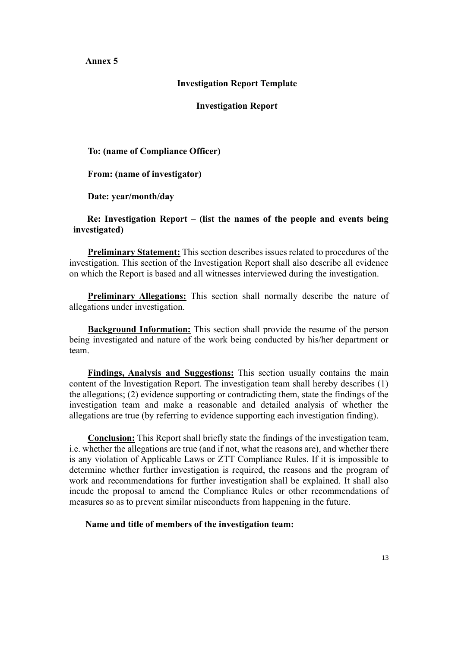## **Investigation Report Template**

**Investigation Report**

**To: (name of Compliance Officer)**

**From: (name of investigator)**

**Date: year/month/day**

## **Re: Investigation Report – (list the names of the people and events being investigated)**

**Preliminary Statement:** This section describes issues related to procedures of the investigation. This section of the Investigation Report shall also describe all evidence on which the Report is based and all witnesses interviewed during the investigation.

**Preliminary Allegations:** This section shall normally describe the nature of allegations under investigation.

**Background Information:** This section shall provide the resume of the person being investigated and nature of the work being conducted by his/her department or team.

**Findings, Analysis and Suggestions:** This section usually contains the main content of the Investigation Report. The investigation team shall hereby describes (1) the allegations; (2) evidence supporting or contradicting them, state the findings of the investigation team and make a reasonable and detailed analysis of whether the allegations are true (by referring to evidence supporting each investigation finding).

**Conclusion:** This Report shall briefly state the findings of the investigation team, i.e. whether the allegations are true (and if not, what the reasons are), and whether there is any violation of Applicable Laws or ZTT Compliance Rules. If it is impossible to determine whether further investigation is required, the reasons and the program of work and recommendations for further investigation shall be explained. It shall also incude the proposal to amend the Compliance Rules or other recommendations of measures so as to prevent similar misconducts from happening in the future.

**Name and title of members of the investigation team:**